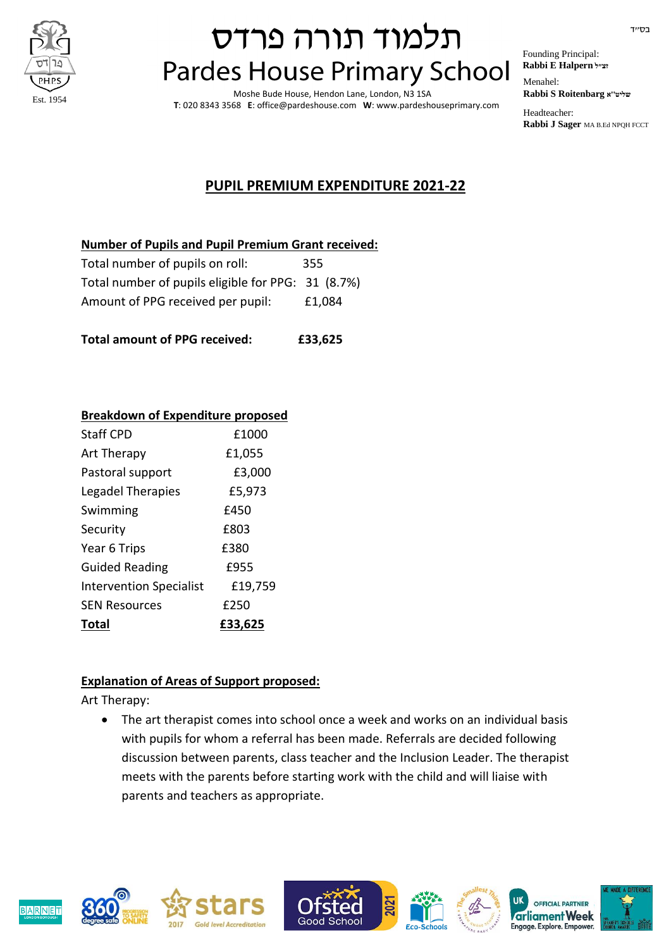

# תלמוד תורה פרדס **Pardes House Primary School**

Moshe Bude House, Hendon Lane, London, N3 1SA **T**: 020 8343 3568 **E**: office@pardeshouse.com **W**: www.pardeshouseprimary.com Founding Principal: **Rabbi E Halpern זצ״ל**  Menahel: **Rabbi S Roitenbarg א''שליט** 

Headteacher: **Rabbi J Sager** MA B.Ed NPQH FCCT

### **PUPIL PREMIUM EXPENDITURE 2021-22**

#### **Number of Pupils and Pupil Premium Grant received:**

| Total number of pupils on roll:                    | 355    |
|----------------------------------------------------|--------|
| Total number of pupils eligible for PPG: 31 (8.7%) |        |
| Amount of PPG received per pupil:                  | £1,084 |

**Total amount of PPG received: £33,625**

#### **Breakdown of Expenditure proposed**

| <b>Staff CPD</b>               | £1000   |
|--------------------------------|---------|
| Art Therapy                    | £1,055  |
| Pastoral support               | £3,000  |
| Legadel Therapies              | £5,973  |
| Swimming                       | £450    |
| Security                       | £803    |
| Year 6 Trips                   | £380    |
| <b>Guided Reading</b>          | £955    |
| <b>Intervention Specialist</b> | £19,759 |
| <b>SEN Resources</b>           | £250    |
| Total                          | £33.625 |

### **Explanation of Areas of Support proposed:**

Art Therapy:

 The art therapist comes into school once a week and works on an individual basis with pupils for whom a referral has been made. Referrals are decided following discussion between parents, class teacher and the Inclusion Leader. The therapist meets with the parents before starting work with the child and will liaise with parents and teachers as appropriate.











OFFICIAL PARTNER